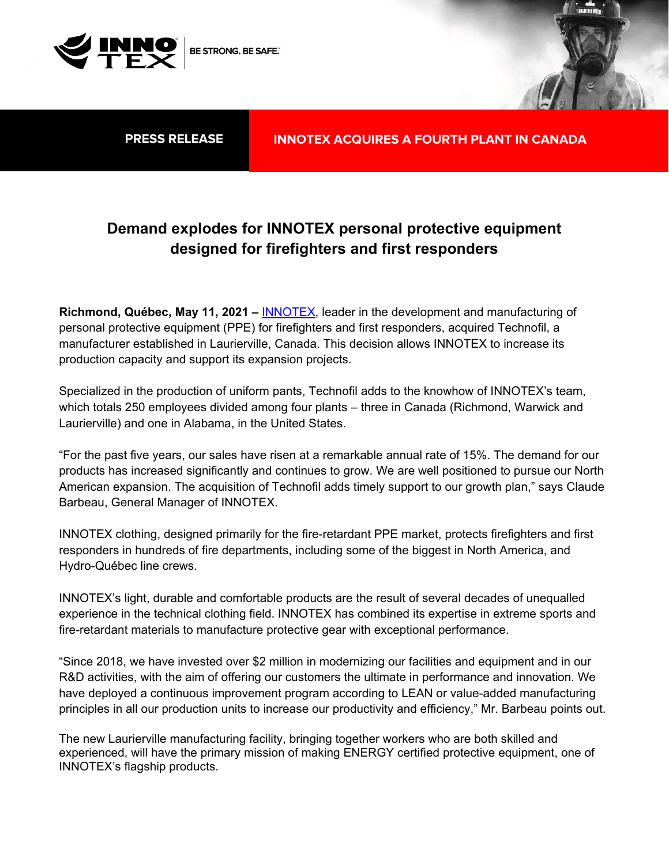

## **Demand explodes for INNOTEX personal protective equipment designed for firefighters and first responders**

**Richmond, Québec, May 11, 2021 – INNOTEX**, leader in the development and manufacturing of personal protective equipment (PPE) for firefighters and first responders, acquired Technofil, a manufacturer established in Laurierville, Canada. This decision allows INNOTEX to increase its production capacity and support its expansion projects.

Specialized in the production of uniform pants, Technofil adds to the knowhow of INNOTEX's team, which totals 250 employees divided among four plants – three in Canada (Richmond, Warwick and Laurierville) and one in Alabama, in the United States.

"For the past five years, our sales have risen at a remarkable annual rate of 15%. The demand for our products has increased significantly and continues to grow. We are well positioned to pursue our North American expansion. The acquisition of Technofil adds timely support to our growth plan," says Claude Barbeau, General Manager of INNOTEX.

INNOTEX clothing, designed primarily for the fire-retardant PPE market, protects firefighters and first responders in hundreds of fire departments, including some of the biggest in North America, and Hydro-Québec line crews.

INNOTEX's light, durable and comfortable products are the result of several decades of unequalled experience in the technical clothing field. INNOTEX has combined its expertise in extreme sports and fire-retardant materials to manufacture protective gear with exceptional performance.

"Since 2018, we have invested over \$2 million in modernizing our facilities and equipment and in our R&D activities, with the aim of offering our customers the ultimate in performance and innovation. We have deployed a continuous improvement program according to LEAN or value-added manufacturing principles in all our production units to increase our productivity and efficiency," Mr. Barbeau points out.

The new Laurierville manufacturing facility, bringing together workers who are both skilled and experienced, will have the primary mission of making ENERGY certified protective equipment, one of INNOTEX's flagship products.